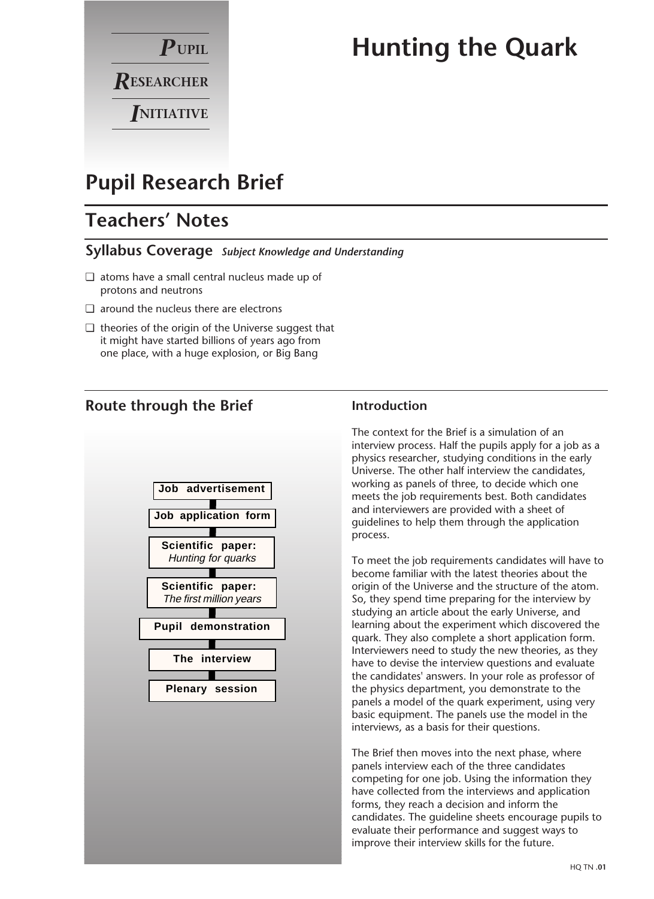

# **Hunting the Quark**

# **Pupil Research Brief**

# **Teachers' Notes**

### **Syllabus Coverage** *Subject Knowledge and Understanding*

- ❏ atoms have a small central nucleus made up of protons and neutrons
- ❏ around the nucleus there are electrons
- ❏ theories of the origin of the Universe suggest that it might have started billions of years ago from one place, with a huge explosion, or Big Bang

## **Route through the Brief**



### **Introduction**

The context for the Brief is a simulation of an interview process. Half the pupils apply for a job as a physics researcher, studying conditions in the early Universe. The other half interview the candidates, working as panels of three, to decide which one meets the job requirements best. Both candidates and interviewers are provided with a sheet of guidelines to help them through the application process.

To meet the job requirements candidates will have to become familiar with the latest theories about the origin of the Universe and the structure of the atom. So, they spend time preparing for the interview by studying an article about the early Universe, and learning about the experiment which discovered the quark. They also complete a short application form. Interviewers need to study the new theories, as they have to devise the interview questions and evaluate the candidates' answers. In your role as professor of the physics department, you demonstrate to the panels a model of the quark experiment, using very basic equipment. The panels use the model in the interviews, as a basis for their questions.

The Brief then moves into the next phase, where panels interview each of the three candidates competing for one job. Using the information they have collected from the interviews and application forms, they reach a decision and inform the candidates. The guideline sheets encourage pupils to evaluate their performance and suggest ways to improve their interview skills for the future.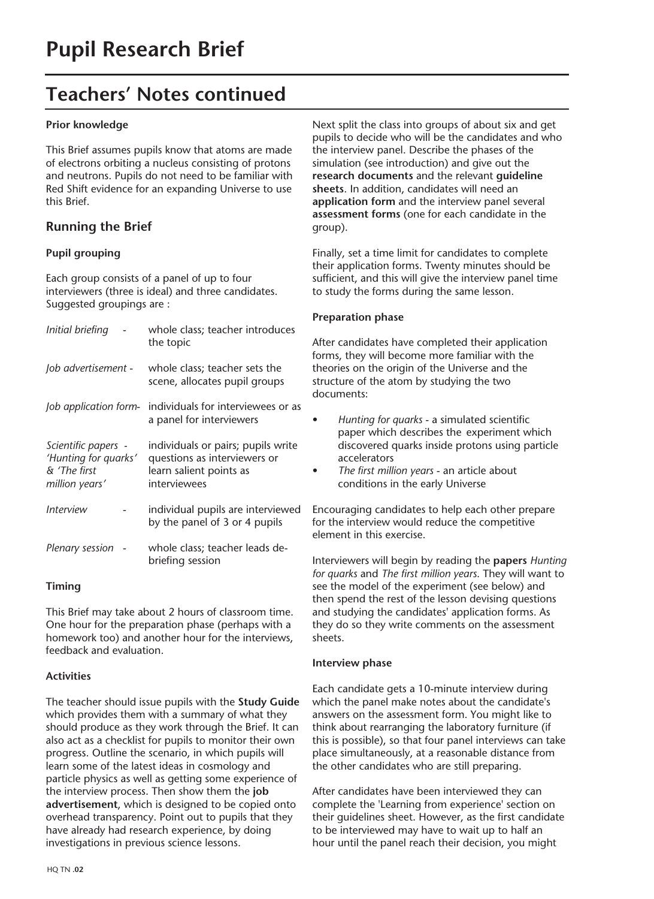# **Teachers' Notes continued**

#### **Prior knowledge**

This Brief assumes pupils know that atoms are made of electrons orbiting a nucleus consisting of protons and neutrons. Pupils do not need to be familiar with Red Shift evidence for an expanding Universe to use this Brief.

### **Running the Brief**

#### **Pupil grouping**

Each group consists of a panel of up to four interviewers (three is ideal) and three candidates. Suggested groupings are :

| Initial briefing                                                              | whole class; teacher introduces<br>the topic                                                                  |
|-------------------------------------------------------------------------------|---------------------------------------------------------------------------------------------------------------|
| Job advertisement -                                                           | whole class; teacher sets the<br>scene, allocates pupil groups                                                |
| Job application form-                                                         | individuals for interviewees or as<br>a panel for interviewers                                                |
| Scientific papers -<br>'Hunting for quarks'<br>& 'The first<br>million years' | individuals or pairs; pupils write<br>questions as interviewers or<br>learn salient points as<br>interviewees |
| <i><u><b>Interview</b></u></i>                                                | individual pupils are interviewed<br>by the panel of 3 or 4 pupils                                            |
| Plenary session                                                               | whole class; teacher leads de-<br>briefing session                                                            |
|                                                                               |                                                                                                               |

#### **Timing**

This Brief may take about 2 hours of classroom time. One hour for the preparation phase (perhaps with a homework too) and another hour for the interviews, feedback and evaluation.

#### **Activities**

The teacher should issue pupils with the **Study Guide** which provides them with a summary of what they should produce as they work through the Brief. It can also act as a checklist for pupils to monitor their own progress. Outline the scenario, in which pupils will learn some of the latest ideas in cosmology and particle physics as well as getting some experience of the interview process. Then show them the **job advertisement**, which is designed to be copied onto overhead transparency. Point out to pupils that they have already had research experience, by doing investigations in previous science lessons.

Next split the class into groups of about six and get pupils to decide who will be the candidates and who the interview panel. Describe the phases of the simulation (see introduction) and give out the **research documents** and the relevant **guideline sheets**. In addition, candidates will need an **application form** and the interview panel several **assessment forms** (one for each candidate in the group).

Finally, set a time limit for candidates to complete their application forms. Twenty minutes should be sufficient, and this will give the interview panel time to study the forms during the same lesson.

#### **Preparation phase**

After candidates have completed their application forms, they will become more familiar with the theories on the origin of the Universe and the structure of the atom by studying the two documents:

- *Hunting for quarks* a simulated scientific paper which describes the experiment which discovered quarks inside protons using particle accelerators
- *The first million years* an article about conditions in the early Universe

Encouraging candidates to help each other prepare for the interview would reduce the competitive element in this exercise.

Interviewers will begin by reading the **papers** *Hunting for quarks* and *The first million years*. They will want to see the model of the experiment (see below) and then spend the rest of the lesson devising questions and studying the candidates' application forms. As they do so they write comments on the assessment sheets.

#### **Interview phase**

Each candidate gets a 10-minute interview during which the panel make notes about the candidate's answers on the assessment form. You might like to think about rearranging the laboratory furniture (if this is possible), so that four panel interviews can take place simultaneously, at a reasonable distance from the other candidates who are still preparing.

After candidates have been interviewed they can complete the 'Learning from experience' section on their guidelines sheet. However, as the first candidate to be interviewed may have to wait up to half an hour until the panel reach their decision, you might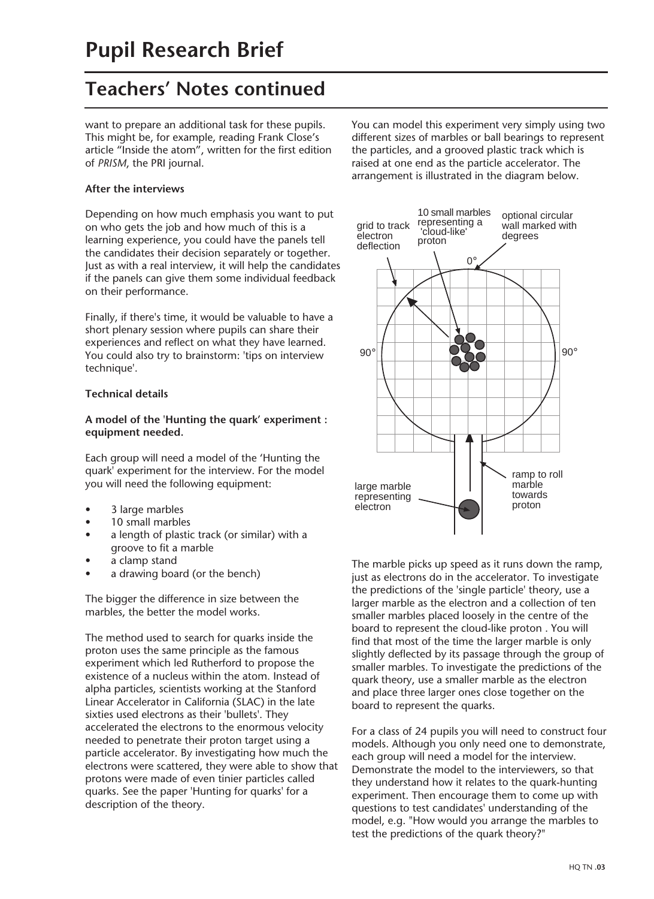# **Teachers' Notes continued**

want to prepare an additional task for these pupils. This might be, for example, reading Frank Close's article "Inside the atom", written for the first edition of *PRISM*, the PRI journal.

#### **After the interviews**

Depending on how much emphasis you want to put on who gets the job and how much of this is a learning experience, you could have the panels tell the candidates their decision separately or together. Just as with a real interview, it will help the candidates if the panels can give them some individual feedback on their performance.

Finally, if there's time, it would be valuable to have a short plenary session where pupils can share their experiences and reflect on what they have learned. You could also try to brainstorm: 'tips on interview technique'.

#### **Technical details**

#### **A model of the 'Hunting the quark' experiment : equipment needed.**

Each group will need a model of the 'Hunting the quark' experiment for the interview. For the model you will need the following equipment:

- 3 large marbles
- 10 small marbles
- a length of plastic track (or similar) with a groove to fit a marble
- a clamp stand
- a drawing board (or the bench)

The bigger the difference in size between the marbles, the better the model works.

The method used to search for quarks inside the proton uses the same principle as the famous experiment which led Rutherford to propose the existence of a nucleus within the atom. Instead of alpha particles, scientists working at the Stanford Linear Accelerator in California (SLAC) in the late sixties used electrons as their 'bullets'. They accelerated the electrons to the enormous velocity needed to penetrate their proton target using a particle accelerator. By investigating how much the electrons were scattered, they were able to show that protons were made of even tinier particles called quarks. See the paper 'Hunting for quarks' for a description of the theory.

You can model this experiment very simply using two different sizes of marbles or ball bearings to represent the particles, and a grooved plastic track which is raised at one end as the particle accelerator. The arrangement is illustrated in the diagram below.



The marble picks up speed as it runs down the ramp, just as electrons do in the accelerator. To investigate the predictions of the 'single particle' theory, use a larger marble as the electron and a collection of ten smaller marbles placed loosely in the centre of the board to represent the cloud-like proton . You will find that most of the time the larger marble is only slightly deflected by its passage through the group of smaller marbles. To investigate the predictions of the quark theory, use a smaller marble as the electron and place three larger ones close together on the board to represent the quarks.

For a class of 24 pupils you will need to construct four models. Although you only need one to demonstrate, each group will need a model for the interview. Demonstrate the model to the interviewers, so that they understand how it relates to the quark-hunting experiment. Then encourage them to come up with questions to test candidates' understanding of the model, e.g. "How would you arrange the marbles to test the predictions of the quark theory?"